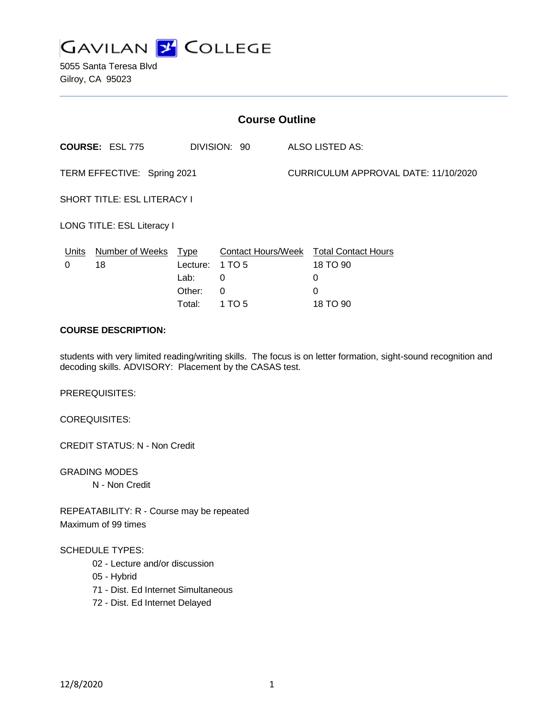

5055 Santa Teresa Blvd Gilroy, CA 95023

| <b>Course Outline</b>              |                                        |             |                           |  |                                      |
|------------------------------------|----------------------------------------|-------------|---------------------------|--|--------------------------------------|
|                                    | <b>COURSE: ESL 775</b><br>DIVISION: 90 |             | ALSO LISTED AS:           |  |                                      |
| TERM EFFECTIVE: Spring 2021        |                                        |             |                           |  | CURRICULUM APPROVAL DATE: 11/10/2020 |
| <b>SHORT TITLE: ESL LITERACY I</b> |                                        |             |                           |  |                                      |
| LONG TITLE: ESL Literacy I         |                                        |             |                           |  |                                      |
| <b>Units</b>                       | <b>Number of Weeks</b>                 | <b>Type</b> | <b>Contact Hours/Week</b> |  | <b>Total Contact Hours</b>           |
| 0                                  | 18                                     | Lecture:    | 1 TO 5                    |  | 18 TO 90                             |
|                                    |                                        | Lab:        | 0                         |  | 0                                    |
|                                    |                                        | Other:      | 0                         |  | 0                                    |
|                                    |                                        | Total:      | 1 TO 5                    |  | 18 TO 90                             |

# **COURSE DESCRIPTION:**

students with very limited reading/writing skills. The focus is on letter formation, sight-sound recognition and decoding skills. ADVISORY: Placement by the CASAS test.

PREREQUISITES:

COREQUISITES:

CREDIT STATUS: N - Non Credit

GRADING MODES N - Non Credit

REPEATABILITY: R - Course may be repeated Maximum of 99 times

#### SCHEDULE TYPES:

- 02 Lecture and/or discussion
- 05 Hybrid
- 71 Dist. Ed Internet Simultaneous
- 72 Dist. Ed Internet Delayed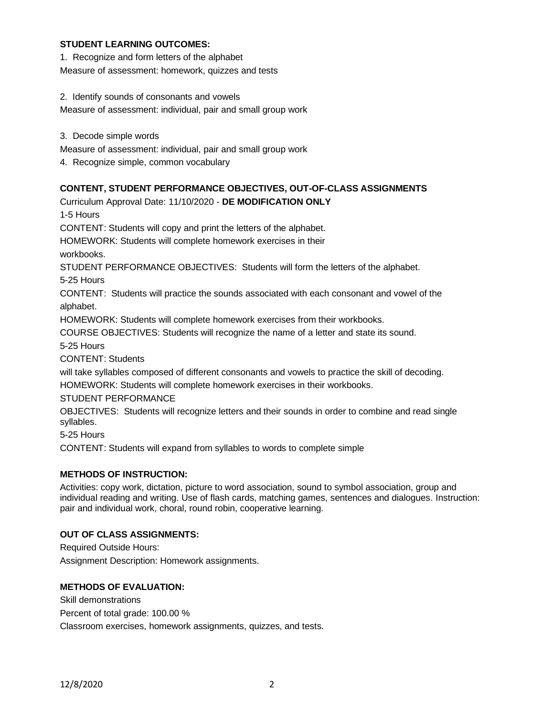### **STUDENT LEARNING OUTCOMES:**

1. Recognize and form letters of the alphabet

Measure of assessment: homework, quizzes and tests

2. Identify sounds of consonants and vowels

Measure of assessment: individual, pair and small group work

3. Decode simple words

Measure of assessment: individual, pair and small group work

4. Recognize simple, common vocabulary

# **CONTENT, STUDENT PERFORMANCE OBJECTIVES, OUT-OF-CLASS ASSIGNMENTS**

Curriculum Approval Date: 11/10/2020 - **DE MODIFICATION ONLY** 1-5 Hours CONTENT: Students will copy and print the letters of the alphabet. HOMEWORK: Students will complete homework exercises in their workbooks. STUDENT PERFORMANCE OBJECTIVES: Students will form the letters of the alphabet. 5-25 Hours CONTENT: Students will practice the sounds associated with each consonant and vowel of the alphabet. HOMEWORK: Students will complete homework exercises from their workbooks. COURSE OBJECTIVES: Students will recognize the name of a letter and state its sound. 5-25 Hours CONTENT: Students will take syllables composed of different consonants and vowels to practice the skill of decoding. HOMEWORK: Students will complete homework exercises in their workbooks. STUDENT PERFORMANCE OBJECTIVES: Students will recognize letters and their sounds in order to combine and read single syllables. 5-25 Hours CONTENT: Students will expand from syllables to words to complete simple

# **METHODS OF INSTRUCTION:**

Activities: copy work, dictation, picture to word association, sound to symbol association, group and individual reading and writing. Use of flash cards, matching games, sentences and dialogues. Instruction: pair and individual work, choral, round robin, cooperative learning.

### **OUT OF CLASS ASSIGNMENTS:**

Required Outside Hours: Assignment Description: Homework assignments.

### **METHODS OF EVALUATION:**

Skill demonstrations Percent of total grade: 100.00 % Classroom exercises, homework assignments, quizzes, and tests.